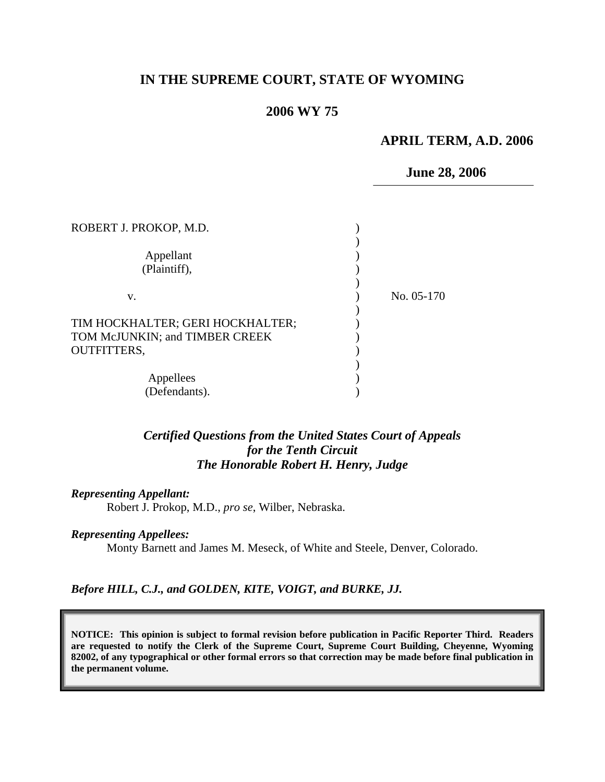# **IN THE SUPREME COURT, STATE OF WYOMING**

### **2006 WY 75**

# **APRIL TERM, A.D. 2006**

 **June 28, 2006**

| ROBERT J. PROKOP, M.D.                                             |            |  |
|--------------------------------------------------------------------|------------|--|
| Appellant<br>(Plaintiff),                                          |            |  |
| V.                                                                 | No. 05-170 |  |
| TIM HOCKHALTER; GERI HOCKHALTER;<br>TOM McJUNKIN; and TIMBER CREEK |            |  |
| <b>OUTFITTERS,</b>                                                 |            |  |
| Appellees                                                          |            |  |
| (Defendants).                                                      |            |  |

# *Certified Questions from the United States Court of Appeals for the Tenth Circuit The Honorable Robert H. Henry, Judge*

#### *Representing Appellant:*

Robert J. Prokop, M.D., *pro se*, Wilber, Nebraska.

#### *Representing Appellees:*

Monty Barnett and James M. Meseck, of White and Steele, Denver, Colorado.

#### *Before HILL, C.J., and GOLDEN, KITE, VOIGT, and BURKE, JJ.*

**NOTICE: This opinion is subject to formal revision before publication in Pacific Reporter Third. Readers are requested to notify the Clerk of the Supreme Court, Supreme Court Building, Cheyenne, Wyoming 82002, of any typographical or other formal errors so that correction may be made before final publication in the permanent volume.**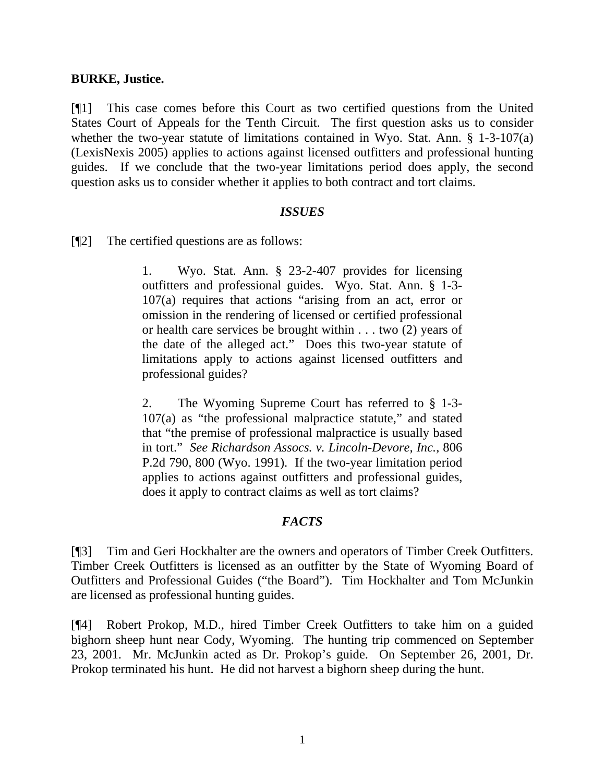# **BURKE, Justice.**

[¶1] This case comes before this Court as two certified questions from the United States Court of Appeals for the Tenth Circuit. The first question asks us to consider whether the two-year statute of limitations contained in Wyo. Stat. Ann. § 1-3-107(a) (LexisNexis 2005) applies to actions against licensed outfitters and professional hunting guides. If we conclude that the two-year limitations period does apply, the second question asks us to consider whether it applies to both contract and tort claims.

### *ISSUES*

[¶2] The certified questions are as follows:

1. Wyo. Stat. Ann. § 23-2-407 provides for licensing outfitters and professional guides. Wyo. Stat. Ann. § 1-3- 107(a) requires that actions "arising from an act, error or omission in the rendering of licensed or certified professional or health care services be brought within . . . two (2) years of the date of the alleged act." Does this two-year statute of limitations apply to actions against licensed outfitters and professional guides?

2. The Wyoming Supreme Court has referred to § 1-3- 107(a) as "the professional malpractice statute," and stated that "the premise of professional malpractice is usually based in tort." *See Richardson Assocs. v. Lincoln-Devore, Inc.*, 806 P.2d 790, 800 (Wyo. 1991). If the two-year limitation period applies to actions against outfitters and professional guides, does it apply to contract claims as well as tort claims?

# *FACTS*

[¶3] Tim and Geri Hockhalter are the owners and operators of Timber Creek Outfitters. Timber Creek Outfitters is licensed as an outfitter by the State of Wyoming Board of Outfitters and Professional Guides ("the Board"). Tim Hockhalter and Tom McJunkin are licensed as professional hunting guides.

[¶4] Robert Prokop, M.D., hired Timber Creek Outfitters to take him on a guided bighorn sheep hunt near Cody, Wyoming. The hunting trip commenced on September 23, 2001. Mr. McJunkin acted as Dr. Prokop's guide. On September 26, 2001, Dr. Prokop terminated his hunt. He did not harvest a bighorn sheep during the hunt.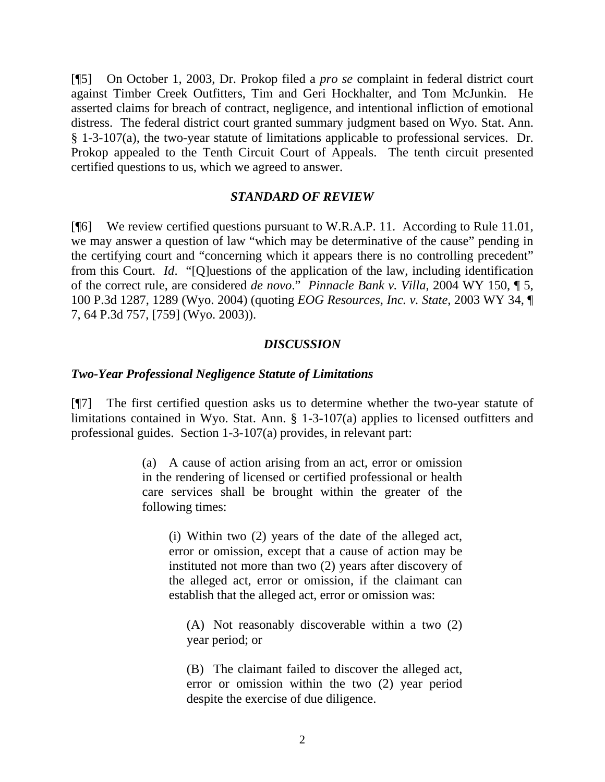[¶5] On October 1, 2003, Dr. Prokop filed a *pro se* complaint in federal district court against Timber Creek Outfitters, Tim and Geri Hockhalter, and Tom McJunkin. He asserted claims for breach of contract, negligence, and intentional infliction of emotional distress. The federal district court granted summary judgment based on Wyo. Stat. Ann. § 1-3-107(a), the two-year statute of limitations applicable to professional services. Dr. Prokop appealed to the Tenth Circuit Court of Appeals. The tenth circuit presented certified questions to us, which we agreed to answer.

### *STANDARD OF REVIEW*

[¶6] We review certified questions pursuant to W.R.A.P. 11. According to Rule 11.01, we may answer a question of law "which may be determinative of the cause" pending in the certifying court and "concerning which it appears there is no controlling precedent" from this Court. *Id*. "[Q]uestions of the application of the law, including identification of the correct rule, are considered *de novo*." *Pinnacle Bank v. Villa*, 2004 WY 150, ¶ 5, 100 P.3d 1287, 1289 (Wyo. 2004) (quoting *EOG Resources, Inc. v. State*, 2003 WY 34, ¶ 7, 64 P.3d 757, [759] (Wyo. 2003)).

# *DISCUSSION*

### *Two-Year Professional Negligence Statute of Limitations*

[¶7] The first certified question asks us to determine whether the two-year statute of limitations contained in Wyo. Stat. Ann. § 1-3-107(a) applies to licensed outfitters and professional guides. Section 1-3-107(a) provides, in relevant part:

> (a) A cause of action arising from an act, error or omission in the rendering of licensed or certified professional or health care services shall be brought within the greater of the following times:

 (i) Within two (2) years of the date of the alleged act, error or omission, except that a cause of action may be instituted not more than two (2) years after discovery of the alleged act, error or omission, if the claimant can establish that the alleged act, error or omission was:

 (A) Not reasonably discoverable within a two (2) year period; or

(B) The claimant failed to discover the alleged act, error or omission within the two (2) year period despite the exercise of due diligence.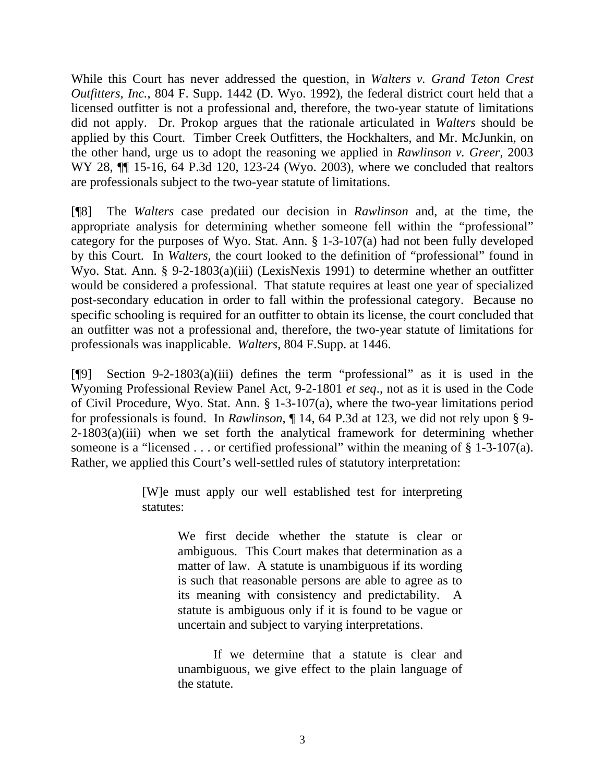While this Court has never addressed the question, in *Walters v. Grand Teton Crest Outfitters, Inc.*, 804 F. Supp. 1442 (D. Wyo. 1992), the federal district court held that a licensed outfitter is not a professional and, therefore, the two-year statute of limitations did not apply. Dr. Prokop argues that the rationale articulated in *Walters* should be applied by this Court. Timber Creek Outfitters, the Hockhalters, and Mr. McJunkin, on the other hand, urge us to adopt the reasoning we applied in *Rawlinson v. Greer*, 2003 WY 28,  $\P$  15-16, 64 P.3d 120, 123-24 (Wyo. 2003), where we concluded that realtors are professionals subject to the two-year statute of limitations.

[¶8] The *Walters* case predated our decision in *Rawlinson* and, at the time, the appropriate analysis for determining whether someone fell within the "professional" category for the purposes of Wyo. Stat. Ann. § 1-3-107(a) had not been fully developed by this Court. In *Walters,* the court looked to the definition of "professional" found in Wyo. Stat. Ann. § 9-2-1803(a)(iii) (LexisNexis 1991) to determine whether an outfitter would be considered a professional. That statute requires at least one year of specialized post-secondary education in order to fall within the professional category. Because no specific schooling is required for an outfitter to obtain its license, the court concluded that an outfitter was not a professional and, therefore, the two-year statute of limitations for professionals was inapplicable. *Walters*, 804 F.Supp. at 1446.

[¶9] Section 9-2-1803(a)(iii) defines the term "professional" as it is used in the Wyoming Professional Review Panel Act, 9-2-1801 *et seq*., not as it is used in the Code of Civil Procedure, Wyo. Stat. Ann. § 1-3-107(a), where the two-year limitations period for professionals is found. In *Rawlinson*, ¶ 14, 64 P.3d at 123, we did not rely upon § 9-  $2-1803(a)(iii)$  when we set forth the analytical framework for determining whether someone is a "licensed . . . or certified professional" within the meaning of § 1-3-107(a). Rather, we applied this Court's well-settled rules of statutory interpretation:

> [W]e must apply our well established test for interpreting statutes:

> > We first decide whether the statute is clear or ambiguous. This Court makes that determination as a matter of law. A statute is unambiguous if its wording is such that reasonable persons are able to agree as to its meaning with consistency and predictability. A statute is ambiguous only if it is found to be vague or uncertain and subject to varying interpretations.

> > If we determine that a statute is clear and unambiguous, we give effect to the plain language of the statute.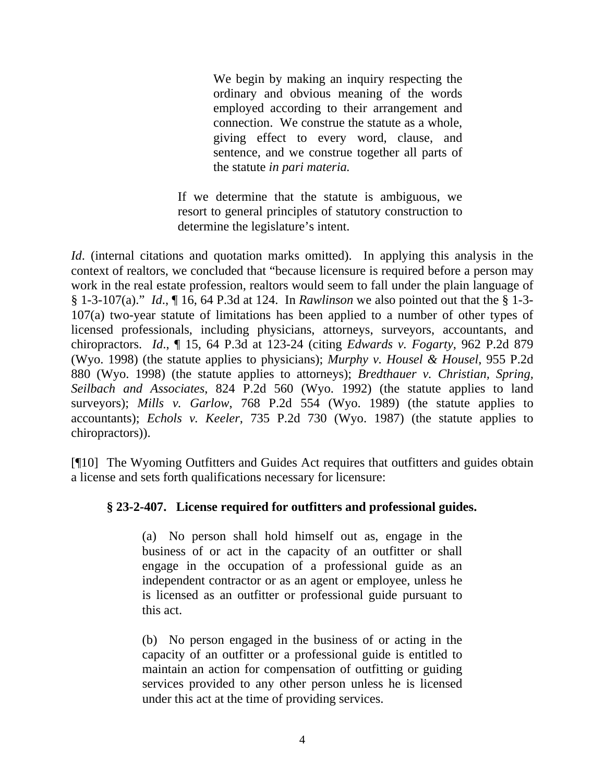We begin by making an inquiry respecting the ordinary and obvious meaning of the words employed according to their arrangement and connection. We construe the statute as a whole, giving effect to every word, clause, and sentence, and we construe together all parts of the statute *in pari materia.*

If we determine that the statute is ambiguous, we resort to general principles of statutory construction to determine the legislature's intent.

*Id.* (internal citations and quotation marks omitted). In applying this analysis in the context of realtors, we concluded that "because licensure is required before a person may work in the real estate profession, realtors would seem to fall under the plain language of § 1-3-107(a)." *Id*., ¶ 16, 64 P.3d at 124. In *Rawlinson* we also pointed out that the § 1-3- 107(a) two-year statute of limitations has been applied to a number of other types of licensed professionals, including physicians, attorneys, surveyors, accountants, and chiropractors. *Id*., ¶ 15, 64 P.3d at 123-24 (citing *Edwards v. Fogarty*, 962 P.2d 879 (Wyo. 1998) (the statute applies to physicians); *Murphy v. Housel & Housel*, 955 P.2d 880 (Wyo. 1998) (the statute applies to attorneys); *Bredthauer v. Christian, Spring, Seilbach and Associates*, 824 P.2d 560 (Wyo. 1992) (the statute applies to land surveyors); *Mills v. Garlow*, 768 P.2d 554 (Wyo. 1989) (the statute applies to accountants); *Echols v. Keeler*, 735 P.2d 730 (Wyo. 1987) (the statute applies to chiropractors)).

[¶10] The Wyoming Outfitters and Guides Act requires that outfitters and guides obtain a license and sets forth qualifications necessary for licensure:

# **§ 23-2-407. License required for outfitters and professional guides.**

(a) No person shall hold himself out as, engage in the business of or act in the capacity of an outfitter or shall engage in the occupation of a professional guide as an independent contractor or as an agent or employee, unless he is licensed as an outfitter or professional guide pursuant to this act.

(b) No person engaged in the business of or acting in the capacity of an outfitter or a professional guide is entitled to maintain an action for compensation of outfitting or guiding services provided to any other person unless he is licensed under this act at the time of providing services.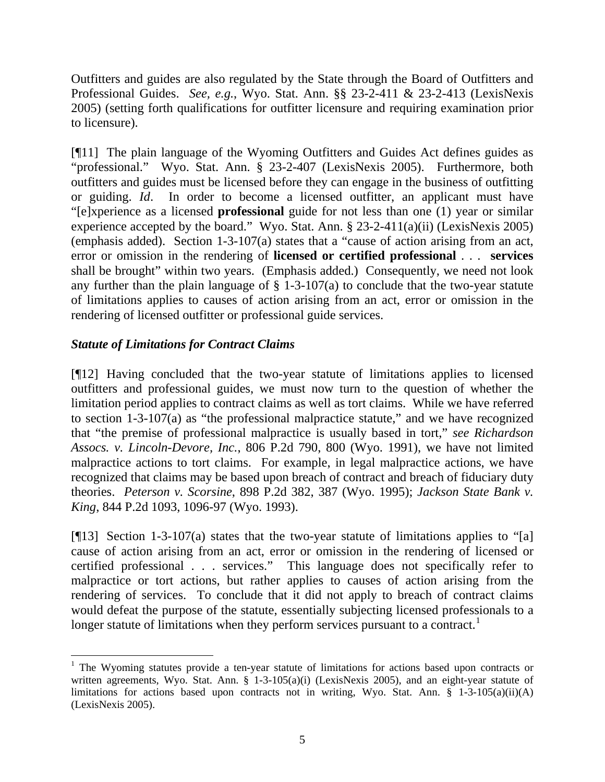Outfitters and guides are also regulated by the State through the Board of Outfitters and Professional Guides. *See, e.g.*, Wyo. Stat. Ann. §§ 23-2-411 & 23-2-413 (LexisNexis 2005) (setting forth qualifications for outfitter licensure and requiring examination prior to licensure).

[¶11] The plain language of the Wyoming Outfitters and Guides Act defines guides as "professional." Wyo. Stat. Ann. § 23-2-407 (LexisNexis 2005). Furthermore, both outfitters and guides must be licensed before they can engage in the business of outfitting or guiding. *Id*. In order to become a licensed outfitter, an applicant must have "[e]xperience as a licensed **professional** guide for not less than one (1) year or similar experience accepted by the board." Wyo. Stat. Ann. § 23-2-411(a)(ii) (LexisNexis 2005) (emphasis added). Section 1-3-107(a) states that a "cause of action arising from an act, error or omission in the rendering of **licensed or certified professional** . . . **services** shall be brought" within two years. (Emphasis added.) Consequently, we need not look any further than the plain language of  $\S$  1-3-107(a) to conclude that the two-year statute of limitations applies to causes of action arising from an act, error or omission in the rendering of licensed outfitter or professional guide services.

# *Statute of Limitations for Contract Claims*

 $\overline{a}$ 

[¶12] Having concluded that the two-year statute of limitations applies to licensed outfitters and professional guides, we must now turn to the question of whether the limitation period applies to contract claims as well as tort claims. While we have referred to section 1-3-107(a) as "the professional malpractice statute," and we have recognized that "the premise of professional malpractice is usually based in tort," *see Richardson Assocs. v. Lincoln-Devore, Inc.*, 806 P.2d 790, 800 (Wyo. 1991), we have not limited malpractice actions to tort claims. For example, in legal malpractice actions, we have recognized that claims may be based upon breach of contract and breach of fiduciary duty theories. *Peterson v. Scorsine*, 898 P.2d 382, 387 (Wyo. 1995); *Jackson State Bank v. King*, 844 P.2d 1093, 1096-97 (Wyo. 1993).

[ $[13]$ ] Section 1-3-107(a) states that the two-year statute of limitations applies to "[a] cause of action arising from an act, error or omission in the rendering of licensed or certified professional . . . services." This language does not specifically refer to malpractice or tort actions, but rather applies to causes of action arising from the rendering of services. To conclude that it did not apply to breach of contract claims would defeat the purpose of the statute, essentially subjecting licensed professionals to a longer statute of limitations when they perform services pursuant to a contract.<sup>[1](#page-5-0)</sup>

<span id="page-5-0"></span><sup>&</sup>lt;sup>1</sup> The Wyoming statutes provide a ten-year statute of limitations for actions based upon contracts or written agreements, Wyo. Stat. Ann. § 1-3-105(a)(i) (LexisNexis 2005), and an eight-year statute of limitations for actions based upon contracts not in writing, Wyo. Stat. Ann.  $\S$  1-3-105(a)(ii)(A) (LexisNexis 2005).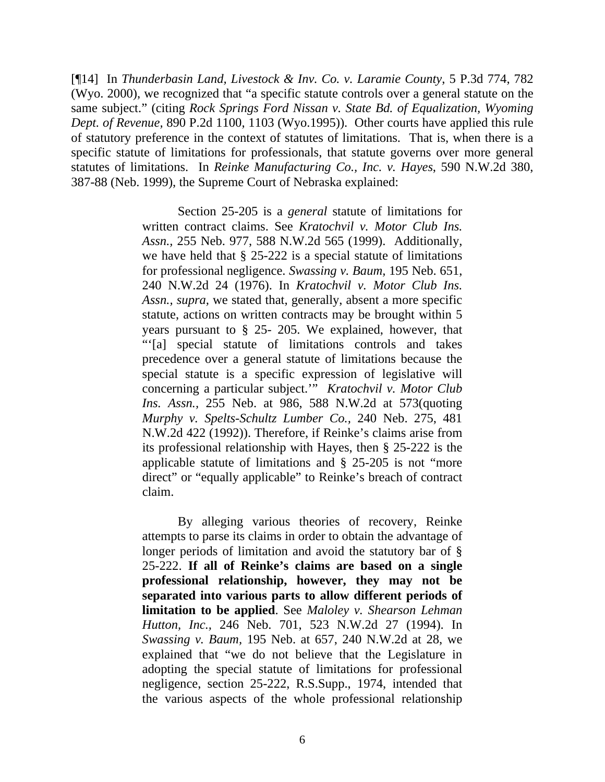[¶14] In *Thunderbasin Land, Livestock & Inv. Co. v. Laramie County*, 5 P.3d 774, 782 (Wyo. 2000), we recognized that "a specific statute controls over a general statute on the same subject." (citing *Rock Springs Ford Nissan v. State Bd. of Equalization, Wyoming Dept. of Revenue,* 890 P.2d 1100, 1103 (Wyo.1995)). Other courts have applied this rule of statutory preference in the context of statutes of limitations. That is, when there is a specific statute of limitations for professionals, that statute governs over more general statutes of limitations. In *Reinke Manufacturing Co., Inc. v. Hayes*, 590 N.W.2d 380, 387-88 (Neb. 1999), the Supreme Court of Nebraska explained:

> Section 25-205 is a *general* statute of limitations for written contract claims. See *Kratochvil v. Motor Club Ins. Assn.,* 255 Neb. 977, 588 N.W.2d 565 (1999). Additionally, we have held that § 25-222 is a special statute of limitations for professional negligence. *Swassing v. Baum,* 195 Neb. 651, 240 N.W.2d 24 (1976). In *Kratochvil v. Motor Club Ins. Assn., supra,* we stated that, generally, absent a more specific statute, actions on written contracts may be brought within 5 years pursuant to § 25- 205. We explained, however, that "'[a] special statute of limitations controls and takes precedence over a general statute of limitations because the special statute is a specific expression of legislative will concerning a particular subject.'" *Kratochvil v. Motor Club Ins. Assn.,* 255 Neb. at 986, 588 N.W.2d at 573(quoting *Murphy v. Spelts-Schultz Lumber Co.,* 240 Neb. 275, 481 N.W.2d 422 (1992)). Therefore, if Reinke's claims arise from its professional relationship with Hayes, then § 25-222 is the applicable statute of limitations and § 25-205 is not "more direct" or "equally applicable" to Reinke's breach of contract claim.

> By alleging various theories of recovery, Reinke attempts to parse its claims in order to obtain the advantage of longer periods of limitation and avoid the statutory bar of § 25-222. **If all of Reinke's claims are based on a single professional relationship, however, they may not be separated into various parts to allow different periods of limitation to be applied**. See *Maloley v. Shearson Lehman Hutton, Inc.,* 246 Neb. 701, 523 N.W.2d 27 (1994). In *Swassing v. Baum,* 195 Neb. at 657, 240 N.W.2d at 28, we explained that "we do not believe that the Legislature in adopting the special statute of limitations for professional negligence, section 25-222, R.S.Supp., 1974, intended that the various aspects of the whole professional relationship